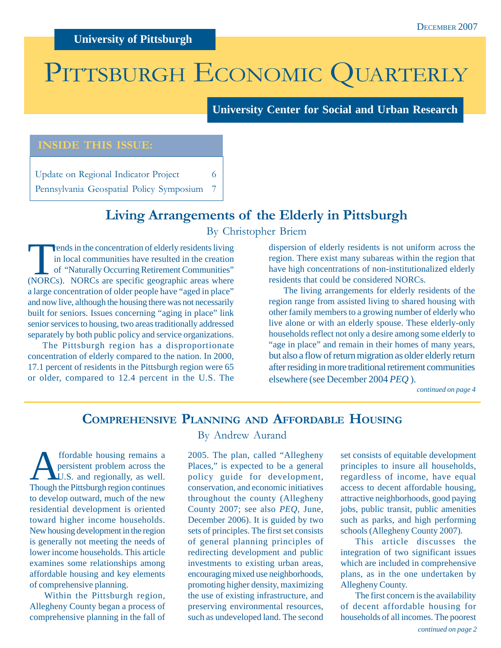## PITTSBURGH ECONOMIC QUARTERLY

**University Center for Social and Urban Research**

#### **INSIDE THIS ISSUE:**

Update on Regional Indicator Project 6 Pennsylvania Geospatial Policy Symposium 7

## **Living Arrangements of the Elderly in Pittsburgh**

By Christopher Briem

Trends in the concentration of elderly residents living<br>in local communities have resulted in the creation<br>of "Naturally Occurring Retirement Communities"<br>(NORCs). NORCs are specific geographic areas where in local communities have resulted in the creation of "Naturally Occurring Retirement Communities" (NORCs). NORCs are specific geographic areas where a large concentration of older people have "aged in place" and now live, although the housing there was not necessarily built for seniors. Issues concerning "aging in place" link senior services to housing, two areas traditionally addressed separately by both public policy and service organizations.

The Pittsburgh region has a disproportionate concentration of elderly compared to the nation. In 2000, 17.1 percent of residents in the Pittsburgh region were 65 or older, compared to 12.4 percent in the U.S. The

dispersion of elderly residents is not uniform across the region. There exist many subareas within the region that have high concentrations of non-institutionalized elderly residents that could be considered NORCs.

The living arrangements for elderly residents of the region range from assisted living to shared housing with other family members to a growing number of elderly who live alone or with an elderly spouse. These elderly-only households reflect not only a desire among some elderly to "age in place" and remain in their homes of many years, but also a flow of return migration as older elderly return after residing in more traditional retirement communities elsewhere (see December 2004 *PEQ* ).

*continued on page 4*

## **COMPREHENSIVE PLANNING AND AFFORDABLE HOUSING**

**A** ffordable housing remains a<br>persistent problem across the<br>U.S. and regionally, as well. persistent problem across the Though the Pittsburgh region continues to develop outward, much of the new residential development is oriented toward higher income households. New housing development in the region is generally not meeting the needs of lower income households. This article examines some relationships among affordable housing and key elements of comprehensive planning.

Within the Pittsburgh region, Allegheny County began a process of comprehensive planning in the fall of By Andrew Aurand

2005. The plan, called "Allegheny Places," is expected to be a general policy guide for development, conservation, and economic initiatives throughout the county (Allegheny County 2007; see also *PEQ,* June, December 2006). It is guided by two sets of principles. The first set consists of general planning principles of redirecting development and public investments to existing urban areas, encouraging mixed use neighborhoods, promoting higher density, maximizing the use of existing infrastructure, and preserving environmental resources, such as undeveloped land. The second

set consists of equitable development principles to insure all households, regardless of income, have equal access to decent affordable housing, attractive neighborhoods, good paying jobs, public transit, public amenities such as parks, and high performing schools (Allegheny County 2007).

This article discusses the integration of two significant issues which are included in comprehensive plans, as in the one undertaken by Allegheny County.

The first concern is the availability of decent affordable housing for households of all incomes. The poorest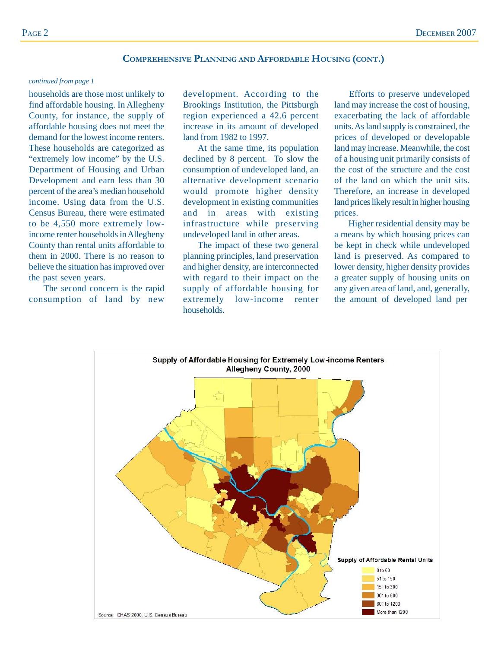#### **COMPREHENSIVE PLANNING AND AFFORDABLE HOUSING (CONT.)**

#### *continued from page 1*

households are those most unlikely to find affordable housing. In Allegheny County, for instance, the supply of affordable housing does not meet the demand for the lowest income renters. These households are categorized as "extremely low income" by the U.S. Department of Housing and Urban Development and earn less than 30 percent of the area's median household income. Using data from the U.S. Census Bureau, there were estimated to be 4,550 more extremely lowincome renter households in Allegheny County than rental units affordable to them in 2000. There is no reason to believe the situation has improved over the past seven years.

The second concern is the rapid consumption of land by new

development. According to the Brookings Institution, the Pittsburgh region experienced a 42.6 percent increase in its amount of developed land from 1982 to 1997.

At the same time, its population declined by 8 percent. To slow the consumption of undeveloped land, an alternative development scenario would promote higher density development in existing communities and in areas with existing infrastructure while preserving undeveloped land in other areas.

The impact of these two general planning principles, land preservation and higher density, are interconnected with regard to their impact on the supply of affordable housing for extremely low-income renter households.

Efforts to preserve undeveloped land may increase the cost of housing, exacerbating the lack of affordable units. As land supply is constrained, the prices of developed or developable land may increase. Meanwhile, the cost of a housing unit primarily consists of the cost of the structure and the cost of the land on which the unit sits. Therefore, an increase in developed land prices likely result in higher housing prices.

 Higher residential density may be a means by which housing prices can be kept in check while undeveloped land is preserved. As compared to lower density, higher density provides a greater supply of housing units on any given area of land, and, generally, the amount of developed land per

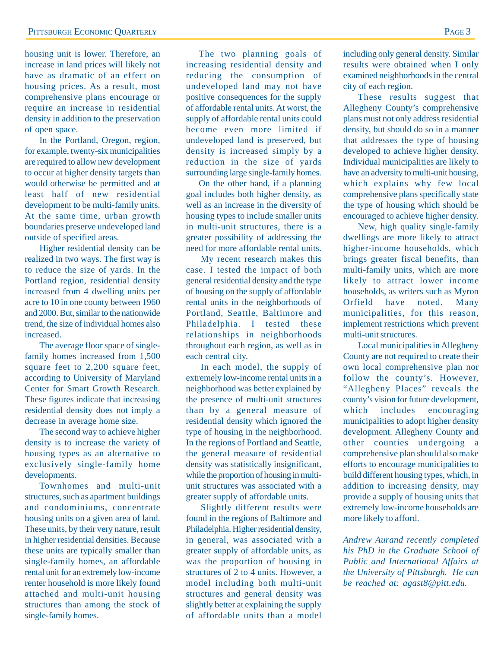housing unit is lower. Therefore, an increase in land prices will likely not have as dramatic of an effect on housing prices. As a result, most comprehensive plans encourage or require an increase in residential density in addition to the preservation of open space.

In the Portland, Oregon, region, for example, twenty-six municipalities are required to allow new development to occur at higher density targets than would otherwise be permitted and at least half of new residential development to be multi-family units. At the same time, urban growth boundaries preserve undeveloped land outside of specified areas.

Higher residential density can be realized in two ways. The first way is to reduce the size of yards. In the Portland region, residential density increased from 4 dwelling units per acre to 10 in one county between 1960 and 2000. But, similar to the nationwide trend, the size of individual homes also increased.

The average floor space of singlefamily homes increased from 1,500 square feet to 2,200 square feet, according to University of Maryland Center for Smart Growth Research. These figures indicate that increasing residential density does not imply a decrease in average home size.

The second way to achieve higher density is to increase the variety of housing types as an alternative to exclusively single-family home developments.

Townhomes and multi-unit structures, such as apartment buildings and condominiums, concentrate housing units on a given area of land. These units, by their very nature, result in higher residential densities. Because these units are typically smaller than single-family homes, an affordable rental unit for an extremely low-income renter household is more likely found attached and multi-unit housing structures than among the stock of single-family homes.

The two planning goals of increasing residential density and reducing the consumption of undeveloped land may not have positive consequences for the supply of affordable rental units. At worst, the supply of affordable rental units could become even more limited if undeveloped land is preserved, but density is increased simply by a reduction in the size of yards surrounding large single-family homes.

On the other hand, if a planning goal includes both higher density, as well as an increase in the diversity of housing types to include smaller units in multi-unit structures, there is a greater possibility of addressing the need for more affordable rental units.

My recent research makes this case. I tested the impact of both general residential density and the type of housing on the supply of affordable rental units in the neighborhoods of Portland, Seattle, Baltimore and Philadelphia. I tested these relationships in neighborhoods throughout each region, as well as in each central city.

In each model, the supply of extremely low-income rental units in a neighborhood was better explained by the presence of multi-unit structures than by a general measure of residential density which ignored the type of housing in the neighborhood. In the regions of Portland and Seattle, the general measure of residential density was statistically insignificant, while the proportion of housing in multiunit structures was associated with a greater supply of affordable units.

Slightly different results were found in the regions of Baltimore and Philadelphia. Higher residential density, in general, was associated with a greater supply of affordable units, as was the proportion of housing in structures of 2 to 4 units. However, a model including both multi-unit structures and general density was slightly better at explaining the supply of affordable units than a model

including only general density. Similar results were obtained when I only examined neighborhoods in the central city of each region.

These results suggest that Allegheny County's comprehensive plans must not only address residential density, but should do so in a manner that addresses the type of housing developed to achieve higher density. Individual municipalities are likely to have an adversity to multi-unit housing, which explains why few local comprehensive plans specifically state the type of housing which should be encouraged to achieve higher density.

New, high quality single-family dwellings are more likely to attract higher-income households, which brings greater fiscal benefits, than multi-family units, which are more likely to attract lower income households, as writers such as Myron Orfield have noted. Many municipalities, for this reason, implement restrictions which prevent multi-unit structures.

Local municipalities in Allegheny County are not required to create their own local comprehensive plan nor follow the county's. However, "Allegheny Places" reveals the county's vision for future development, which includes encouraging municipalities to adopt higher density development. Allegheny County and other counties undergoing a comprehensive plan should also make efforts to encourage municipalities to build different housing types, which, in addition to increasing density, may provide a supply of housing units that extremely low-income households are more likely to afford.

*Andrew Aurand recently completed his PhD in the Graduate School of Public and International Affairs at the University of Pittsburgh. He can be reached at: agast8@pitt.edu.*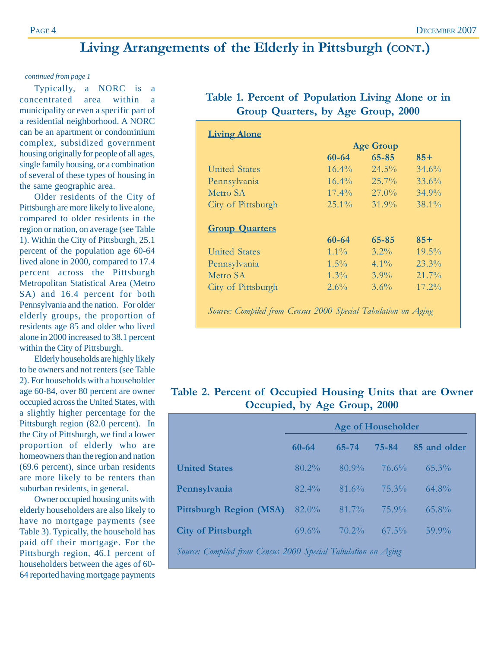## **Living Arrangements of the Elderly in Pittsburgh (CONT.)**

#### *continued from page 1*

Typically, a NORC is a concentrated area within a municipality or even a specific part of a residential neighborhood. A NORC can be an apartment or condominium complex, subsidized government housing originally for people of all ages, single family housing, or a combination of several of these types of housing in the same geographic area.

Older residents of the City of Pittsburgh are more likely to live alone, compared to older residents in the region or nation, on average (see Table 1). Within the City of Pittsburgh, 25.1 percent of the population age 60-64 lived alone in 2000, compared to 17.4 percent across the Pittsburgh Metropolitan Statistical Area (Metro SA) and 16.4 percent for both Pennsylvania and the nation. For older elderly groups, the proportion of residents age 85 and older who lived alone in 2000 increased to 38.1 percent within the City of Pittsburgh.

Elderly households are highly likely to be owners and not renters (see Table 2). For households with a householder age 60-84, over 80 percent are owner occupied across the United States, with a slightly higher percentage for the Pittsburgh region (82.0 percent). In the City of Pittsburgh, we find a lower proportion of elderly who are homeowners than the region and nation (69.6 percent), since urban residents are more likely to be renters than suburban residents, in general.

Owner occupied housing units with elderly householders are also likely to have no mortgage payments (see Table 3). Typically, the household has paid off their mortgage. For the Pittsburgh region, 46.1 percent of householders between the ages of 60- 64 reported having mortgage payments

| Table 1. Percent of Population Living Alone or in |                                    |  |  |
|---------------------------------------------------|------------------------------------|--|--|
|                                                   | Group Quarters, by Age Group, 2000 |  |  |

|                       |           | <b>Age Group</b> |          |
|-----------------------|-----------|------------------|----------|
|                       | 60-64     | 65-85            | $85+$    |
| <b>United States</b>  | $16.4\%$  | $24.5\%$         | $34.6\%$ |
| Pennsylvania          | $16.4\%$  | $25.7\%$         | 33.6%    |
| Metro SA              | $17.4\%$  | $27.0\%$         | $34.9\%$ |
| City of Pittsburgh    | $25.1\%$  | $31.9\%$         | $38.1\%$ |
|                       | $60 - 64$ | $65 - 85$        | $85+$    |
| <b>Group Quarters</b> |           |                  |          |
|                       | $1.1\%$   | $3.2\%$          | $19.5\%$ |
| United States         |           |                  |          |
| Pennsylvania          | $1.5\%$   | $4.1\%$          | $23.3\%$ |
| Metro SA              | $1.3\%$   | $3.9\%$          | $21.7\%$ |

#### **Table 2. Percent of Occupied Housing Units that are Owner Occupied, by Age Group, 2000**

|                                                               | Age of Householder |          |          |              |  |
|---------------------------------------------------------------|--------------------|----------|----------|--------------|--|
|                                                               | $60 - 64$          | 65-74    | 75-84    | 85 and older |  |
| <b>United States</b>                                          | $80.2\%$           | $80.9\%$ | $76.6\%$ | $65.3\%$     |  |
| Pennsylvania                                                  | $82.4\%$           | $81.6\%$ | $75.3\%$ | $64.8\%$     |  |
| Pittsburgh Region (MSA)                                       | $82.0\%$           | $81.7\%$ | $75.9\%$ | $65.8\%$     |  |
| <b>City of Pittsburgh</b>                                     | $69.6\%$           | $70.2\%$ | $67.5\%$ | $59.9\%$     |  |
| Source: Compiled from Census 2000 Special Tabulation on Aging |                    |          |          |              |  |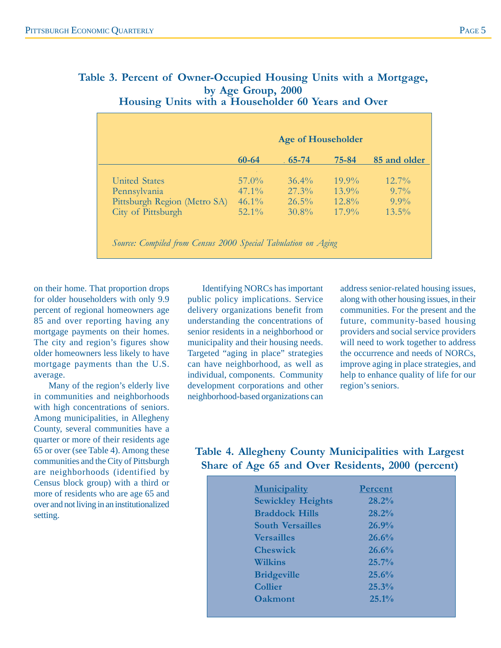|                              | $60 - 64$ | $65 - 74$ | 75-84    | 85 and older |
|------------------------------|-----------|-----------|----------|--------------|
|                              |           |           |          |              |
| United States                | $57.0\%$  | $36.4\%$  | $19.9\%$ | $12.7\%$     |
| Pennsylvania                 | $47.1\%$  | $27.3\%$  | $13.9\%$ | $9.7\%$      |
| Pittsburgh Region (Metro SA) | $46.1\%$  | $26.5\%$  | $12.8\%$ | $9.9\%$      |
| City of Pittsburgh           | $52.1\%$  | $30.8\%$  | $17.9\%$ | $13.5\%$     |

#### **Table 3. Percent of Owner-Occupied Housing Units with a Mortgage, by Age Group, 2000 Housing Units with a Householder 60 Years and Over**

on their home. That proportion drops for older householders with only 9.9 percent of regional homeowners age 85 and over reporting having any mortgage payments on their homes. The city and region's figures show older homeowners less likely to have mortgage payments than the U.S. average.

Many of the region's elderly live in communities and neighborhoods with high concentrations of seniors. Among municipalities, in Allegheny County, several communities have a quarter or more of their residents age 65 or over (see Table 4). Among these communities and the City of Pittsburgh are neighborhoods (identified by Census block group) with a third or more of residents who are age 65 and over and not living in an institutionalized setting.

Identifying NORCs has important public policy implications. Service delivery organizations benefit from understanding the concentrations of senior residents in a neighborhood or municipality and their housing needs. Targeted "aging in place" strategies can have neighborhood, as well as individual, components. Community development corporations and other neighborhood-based organizations can

address senior-related housing issues, along with other housing issues, in their communities. For the present and the future, community-based housing providers and social service providers will need to work together to address the occurrence and needs of NORCs, improve aging in place strategies, and help to enhance quality of life for our region's seniors.

## **Table 4. Allegheny County Municipalities with Largest Share of Age 65 and Over Residents, 2000 (percent)**

| <b>Municipality</b>      | <b>Percent</b> |
|--------------------------|----------------|
| <b>Sewickley Heights</b> | 28.2%          |
| <b>Braddock Hills</b>    | 28.2%          |
| <b>South Versailles</b>  | 26.9%          |
| <b>Versailles</b>        | 26.6%          |
| <b>Cheswick</b>          | 26.6%          |
| Wilkins                  | $25.7\%$       |
| <b>Bridgeville</b>       | 25.6%          |
| <b>Collier</b>           | 25.3%          |
| <b>Oakmont</b>           | $25.1\%$       |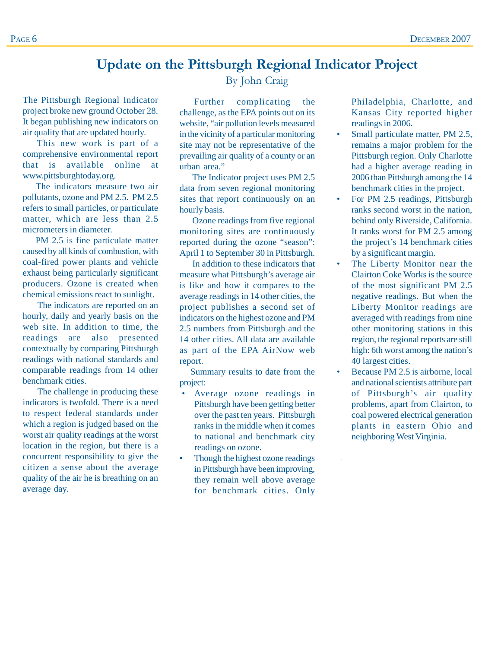## **Update on the Pittsburgh Regional Indicator Project**

The Pittsburgh Regional Indicator project broke new ground October 28. It began publishing new indicators on air quality that are updated hourly.

 This new work is part of a comprehensive environmental report that is available online at www.pittsburghtoday.org.

The indicators measure two air pollutants, ozone and PM 2.5. PM 2.5 refers to small particles, or particulate matter, which are less than 2.5 micrometers in diameter.

PM 2.5 is fine particulate matter caused by all kinds of combustion, with coal-fired power plants and vehicle exhaust being particularly significant producers. Ozone is created when chemical emissions react to sunlight.

The indicators are reported on an hourly, daily and yearly basis on the web site. In addition to time, the readings are also presented contextually by comparing Pittsburgh readings with national standards and comparable readings from 14 other benchmark cities.

The challenge in producing these indicators is twofold. There is a need to respect federal standards under which a region is judged based on the worst air quality readings at the worst location in the region, but there is a concurrent responsibility to give the citizen a sense about the average quality of the air he is breathing on an average day.

### By John Craig

Further complicating the challenge, as the EPA points out on its website, "air pollution levels measured in the vicinity of a particular monitoring site may not be representative of the prevailing air quality of a county or an urban area."

The Indicator project uses PM 2.5 data from seven regional monitoring sites that report continuously on an hourly basis.

Ozone readings from five regional monitoring sites are continuously reported during the ozone "season": April 1 to September 30 in Pittsburgh.

In addition to these indicators that measure what Pittsburgh's average air is like and how it compares to the average readings in 14 other cities, the project publishes a second set of indicators on the highest ozone and PM 2.5 numbers from Pittsburgh and the 14 other cities. All data are available as part of the EPA AirNow web report.

Summary results to date from the project:

- Average ozone readings in Pittsburgh have been getting better over the past ten years. Pittsburgh ranks in the middle when it comes to national and benchmark city readings on ozone.
- Though the highest ozone readings in Pittsburgh have been improving, they remain well above average for benchmark cities. Only

Philadelphia, Charlotte, and Kansas City reported higher readings in 2006.

- Small particulate matter, PM 2.5, remains a major problem for the Pittsburgh region. Only Charlotte had a higher average reading in 2006 than Pittsburgh among the 14 benchmark cities in the project.
- For PM 2.5 readings, Pittsburgh ranks second worst in the nation, behind only Riverside, California. It ranks worst for PM 2.5 among the project's 14 benchmark cities by a significant margin.
- The Liberty Monitor near the Clairton Coke Works is the source of the most significant PM 2.5 negative readings. But when the Liberty Monitor readings are averaged with readings from nine other monitoring stations in this region, the regional reports are still high: 6th worst among the nation's 40 largest cities.
- Because PM 2.5 is airborne, local and national scientists attribute part of Pittsburgh's air quality problems, apart from Clairton, to coal powered electrical generation plants in eastern Ohio and neighboring West Virginia.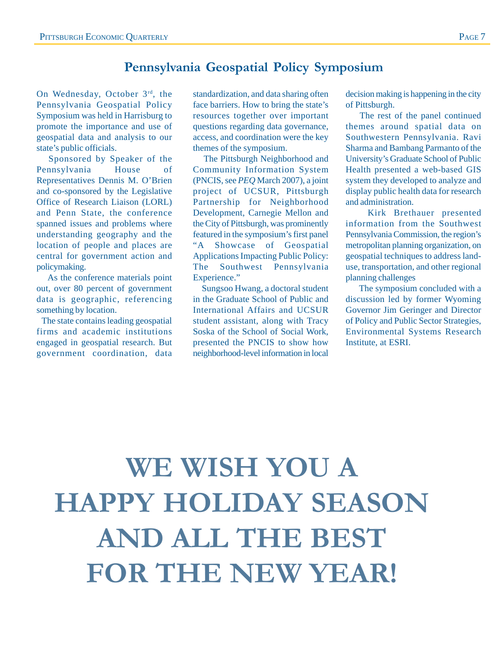## **Pennsylvania Geospatial Policy Symposium**

On Wednesday, October 3rd, the Pennsylvania Geospatial Policy Symposium was held in Harrisburg to promote the importance and use of geospatial data and analysis to our state's public officials.

 Sponsored by Speaker of the Pennsylvania House of Representatives Dennis M. O'Brien and co-sponsored by the Legislative Office of Research Liaison (LORL) and Penn State, the conference spanned issues and problems where understanding geography and the location of people and places are central for government action and policymaking.

 As the conference materials point out, over 80 percent of government data is geographic, referencing something by location.

 The state contains leading geospatial firms and academic institutions engaged in geospatial research. But government coordination, data

standardization, and data sharing often face barriers. How to bring the state's resources together over important questions regarding data governance, access, and coordination were the key themes of the symposium.

 The Pittsburgh Neighborhood and Community Information System (PNCIS, see *PEQ* March 2007), a joint project of UCSUR, Pittsburgh Partnership for Neighborhood Development, Carnegie Mellon and the City of Pittsburgh, was prominently featured in the symposium's first panel "A Showcase of Geospatial Applications Impacting Public Policy: The Southwest Pennsylvania Experience."

 Sungsoo Hwang, a doctoral student in the Graduate School of Public and International Affairs and UCSUR student assistant, along with Tracy Soska of the School of Social Work, presented the PNCIS to show how neighborhood-level information in local

decision making is happening in the city of Pittsburgh.

 The rest of the panel continued themes around spatial data on Southwestern Pennsylvania. Ravi Sharma and Bambang Parmanto of the University's Graduate School of Public Health presented a web-based GIS system they developed to analyze and display public health data for research and administration.

 Kirk Brethauer presented information from the Southwest Pennsylvania Commission, the region's metropolitan planning organization, on geospatial techniques to address landuse, transportation, and other regional planning challenges

 The symposium concluded with a discussion led by former Wyoming Governor Jim Geringer and Director of Policy and Public Sector Strategies, Environmental Systems Research Institute, at ESRI.

# **WE WISH YOU A HAPPY HOLIDAY SEASON AND ALL THE BEST FOR THE NEW YEAR!**